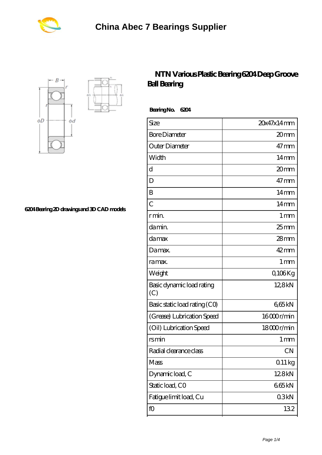



**[6204 Bearing 2D drawings and 3D CAD models](https://m.biltfonts.com/pic-560871.html)**

## **[NTN Various Plastic Bearing 6204 Deep Groove](https://m.biltfonts.com/nsk-6204z-bearing/ntn-6204.html) [Ball Bearing](https://m.biltfonts.com/nsk-6204z-bearing/ntn-6204.html)**

 **Bearing No. 6204**

| Size                             | 20x47x14mm         |
|----------------------------------|--------------------|
| <b>Bore Diameter</b>             | 20 <sub>mm</sub>   |
| Outer Diameter                   | $47 \text{mm}$     |
| Width                            | $14 \text{mm}$     |
| d                                | 20mm               |
| D                                | $47 \text{mm}$     |
| B                                | $14 \text{mm}$     |
| $\overline{C}$                   | $14 \text{mm}$     |
| r min.                           | $1 \,\mathrm{mm}$  |
| da min.                          | $25$ <sub>mm</sub> |
| damax                            | $28$ mm            |
| Damax.                           | 42mm               |
| ra max.                          | 1 <sub>mm</sub>    |
| Weight                           | Q106Kg             |
| Basic dynamic load rating<br>(C) | 12,8kN             |
| Basic static load rating (CO)    | 665kN              |
| (Grease) Lubrication Speed       | 16000r/min         |
| (Oil) Lubrication Speed          | 18000r/min         |
| rsmin                            | 1 mm               |
| Radial clearance class           | <b>CN</b>          |
| Mass                             | $011\,\mathrm{kg}$ |
| Dynamic load, C                  | 128kN              |
| Static load, CO                  | 665kN              |
| Fatigue limit load, Cu           | 03kN               |
| fO                               | 132                |
|                                  |                    |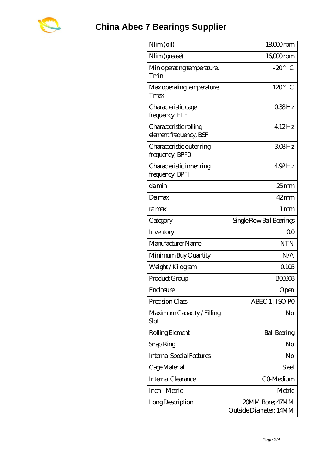

## **[China Abec 7 Bearings Supplier](https://m.biltfonts.com)**

| $Nlim$ (oil)                                     | $1800$ rpm                                |
|--------------------------------------------------|-------------------------------------------|
| Nlim (grease)                                    | $1600$ rpm                                |
| Min operating temperature,<br>Tmin               | $-20^\circ$ C                             |
| Max operating temperature,<br>Tmax               | $120^\circ$<br>$\mathcal C$               |
| Characteristic cage<br>frequency, FTF            | $038$ Hz                                  |
| Characteristic rolling<br>element frequency, BSF | 4.12Hz                                    |
| Characteristic outer ring<br>frequency, BPFO     | $308$ Hz                                  |
| Characteristic inner ring<br>frequency, BPFI     | 4.92Hz                                    |
| damin                                            | $25$ mm                                   |
| Damax                                            | 42mm                                      |
| ramax                                            | $1 \,\mathrm{mm}$                         |
| Category                                         | Single Row Ball Bearings                  |
| Inventory                                        | 0 <sup>0</sup>                            |
| Manufacturer Name                                | <b>NTN</b>                                |
| Minimum Buy Quantity                             | N/A                                       |
| Weight / Kilogram                                | 0105                                      |
| Product Group                                    | BOO3O8                                    |
| Enclosure                                        | Open                                      |
| Precision Class                                  | ABEC 1   ISO PO                           |
| Maximum Capacity / Filling<br>Slot               | No                                        |
| Rolling Element                                  | <b>Ball Bearing</b>                       |
| Snap Ring                                        | No                                        |
| <b>Internal Special Features</b>                 | No                                        |
| Cage Material                                    | Steel                                     |
| Internal Clearance                               | CO-Medium                                 |
| Inch - Metric                                    | Metric                                    |
| Long Description                                 | 20MM Bore; 47MM<br>Outside Diameter; 14MM |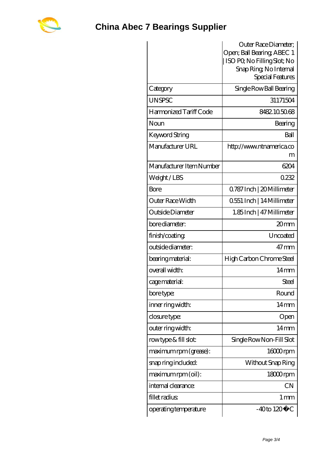

|                          | Outer Race Diameter;                                       |
|--------------------------|------------------------------------------------------------|
|                          | Open; Ball Bearing; ABEC 1<br>  ISO PQ No Filling Slot; No |
|                          | Snap Ring, No Internal                                     |
|                          | Special Features                                           |
| Category                 | Single Row Ball Bearing                                    |
| <b>UNSPSC</b>            | 31171504                                                   |
| Harmonized Tariff Code   | 8482105068                                                 |
| Noun                     | Bearing                                                    |
| Keyword String           | Ball                                                       |
| Manufacturer URL         | http://www.ntnamerica.co<br>m                              |
| Manufacturer Item Number | 6204                                                       |
| Weight/LBS               | 0232                                                       |
| Bore                     | Q787 Inch   20 Millimeter                                  |
| Outer Race Width         | 0.551 Inch   14 Millimeter                                 |
| Outside Diameter         | 1.85 Inch   47 Millimeter                                  |
| bore diameter:           | 20mm                                                       |
| finish/coating           | Uncoated                                                   |
| outside diameter:        | $47 \,\mathrm{mm}$                                         |
| bearing material:        | High Carbon Chrome Steel                                   |
| overall width:           | $14 \text{mm}$                                             |
| cage material:           | Steel                                                      |
| bore type:               | Round                                                      |
| inner ring width:        | $14 \text{mm}$                                             |
| closure type:            | Open                                                       |
| outer ring width:        | $14 \text{mm}$                                             |
| rowtype & fill slot:     | Single Row Non-Fill Slot                                   |
| maximum rpm (grease):    | 16000rpm                                                   |
| snap ring included:      | Without Snap Ring                                          |
| maximum rpm (oil):       | 18000rpm                                                   |
| internal clearance:      | <b>CN</b>                                                  |
| fillet radius            | $1 \,\mathrm{mm}$                                          |
| operating temperature    | $-40$ to $120^{\circ}$ C                                   |